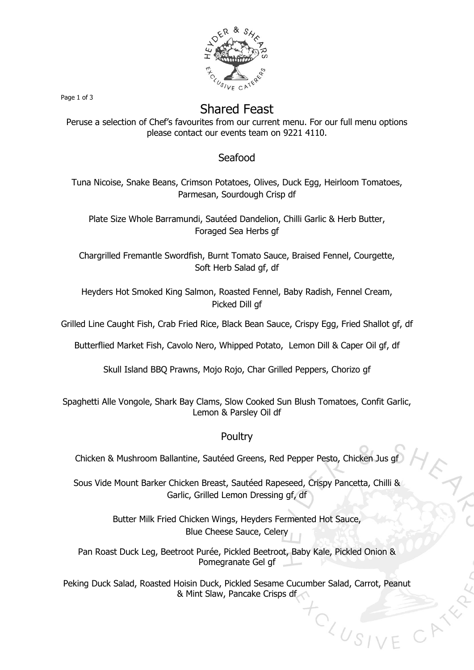

Page 1 of 3

## Shared Feast

Peruse a selection of Chef's favourites from our current menu. For our full menu options please contact our events team on 9221 4110.

## Seafood

Tuna Nicoise, Snake Beans, Crimson Potatoes, Olives, Duck Egg, Heirloom Tomatoes, Parmesan, Sourdough Crisp df

Plate Size Whole Barramundi, Sautéed Dandelion, Chilli Garlic & Herb Butter, Foraged Sea Herbs gf

Chargrilled Fremantle Swordfish, Burnt Tomato Sauce, Braised Fennel, Courgette, Soft Herb Salad gf, df

Heyders Hot Smoked King Salmon, Roasted Fennel, Baby Radish, Fennel Cream, Picked Dill gf

Grilled Line Caught Fish, Crab Fried Rice, Black Bean Sauce, Crispy Egg, Fried Shallot gf, df

Butterflied Market Fish, Cavolo Nero, Whipped Potato, Lemon Dill & Caper Oil gf, df

Skull Island BBQ Prawns, Mojo Rojo, Char Grilled Peppers, Chorizo gf

Spaghetti Alle Vongole, Shark Bay Clams, Slow Cooked Sun Blush Tomatoes, Confit Garlic, Lemon & Parsley Oil df

## **Poultry**

Chicken & Mushroom Ballantine, Sautéed Greens, Red Pepper Pesto, Chicken Jus gf

Sous Vide Mount Barker Chicken Breast, Sautéed Rapeseed, Crispy Pancetta, Chilli & Garlic, Grilled Lemon Dressing gf, df

> Butter Milk Fried Chicken Wings, Heyders Fermented Hot Sauce, Blue Cheese Sauce, Celery

Pan Roast Duck Leg, Beetroot Purée, Pickled Beetroot, Baby Kale, Pickled Onion & Pomegranate Gel gf

Peking Duck Salad, Roasted Hoisin Duck, Pickled Sesame Cucumber Salad, Carrot, Peanut & Mint Slaw, Pancake Crisps df

CLUSI

 $\mathcal{P}^{\lambda}$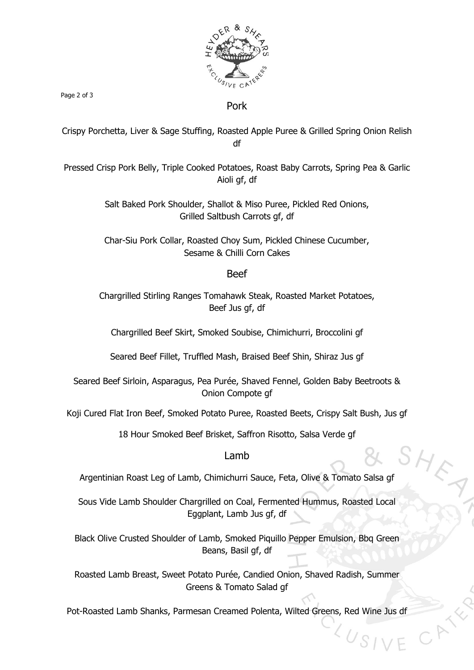

Page 2 of 3

Crispy Porchetta, Liver & Sage Stuffing, Roasted Apple Puree & Grilled Spring Onion Relish df

Pork

Pressed Crisp Pork Belly, Triple Cooked Potatoes, Roast Baby Carrots, Spring Pea & Garlic Aioli gf, df

> Salt Baked Pork Shoulder, Shallot & Miso Puree, Pickled Red Onions, Grilled Saltbush Carrots gf, df

> Char-Siu Pork Collar, Roasted Choy Sum, Pickled Chinese Cucumber, Sesame & Chilli Corn Cakes

> > Beef

Chargrilled Stirling Ranges Tomahawk Steak, Roasted Market Potatoes, Beef Jus gf, df

Chargrilled Beef Skirt, Smoked Soubise, Chimichurri, Broccolini gf

Seared Beef Fillet, Truffled Mash, Braised Beef Shin, Shiraz Jus gf

Seared Beef Sirloin, Asparagus, Pea Purée, Shaved Fennel, Golden Baby Beetroots & Onion Compote gf

Koji Cured Flat Iron Beef, Smoked Potato Puree, Roasted Beets, Crispy Salt Bush, Jus gf

18 Hour Smoked Beef Brisket, Saffron Risotto, Salsa Verde gf

Lamb

Argentinian Roast Leg of Lamb, Chimichurri Sauce, Feta, Olive & Tomato Salsa gf

Sous Vide Lamb Shoulder Chargrilled on Coal, Fermented Hummus, Roasted Local Eggplant, Lamb Jus gf, df

Black Olive Crusted Shoulder of Lamb, Smoked Piquillo Pepper Emulsion, Bbq Green Beans, Basil gf, df

Roasted Lamb Breast, Sweet Potato Purée, Candied Onion, Shaved Radish, Summer Greens & Tomato Salad gf

Pot-Roasted Lamb Shanks, Parmesan Creamed Polenta, Wilted Greens, Red Wine Jus df

 $U_{\mathcal{S}}$